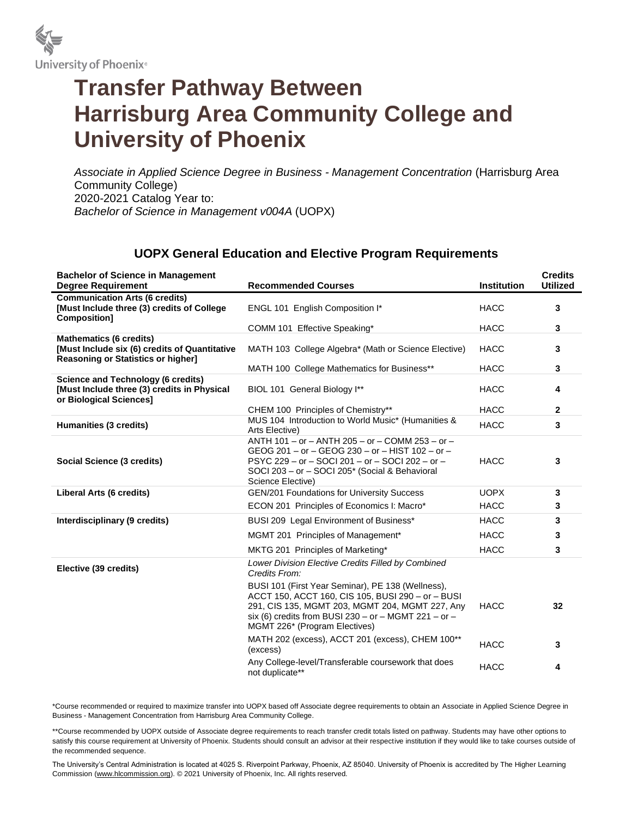

## **Transfer Pathway Between Harrisburg Area Community College and University of Phoenix**

*Associate in Applied Science Degree in Business - Management Concentration* (Harrisburg Area Community College) 2020-2021 Catalog Year to: *Bachelor of Science in Management v004A* (UOPX)

## **UOPX General Education and Elective Program Requirements**

| <b>Bachelor of Science in Management</b><br><b>Degree Requirement</b>                                                        | <b>Recommended Courses</b>                                                                                                                                                                                                                         | <b>Institution</b> | <b>Credits</b><br><b>Utilized</b> |
|------------------------------------------------------------------------------------------------------------------------------|----------------------------------------------------------------------------------------------------------------------------------------------------------------------------------------------------------------------------------------------------|--------------------|-----------------------------------|
| <b>Communication Arts (6 credits)</b><br>[Must Include three (3) credits of College<br>Composition]                          | ENGL 101 English Composition I*                                                                                                                                                                                                                    | <b>HACC</b>        | 3                                 |
|                                                                                                                              | COMM 101 Effective Speaking*                                                                                                                                                                                                                       | <b>HACC</b>        | 3                                 |
| <b>Mathematics (6 credits)</b><br>[Must Include six (6) credits of Quantitative<br><b>Reasoning or Statistics or higher]</b> | MATH 103 College Algebra* (Math or Science Elective)                                                                                                                                                                                               | <b>HACC</b>        | 3                                 |
|                                                                                                                              | MATH 100 College Mathematics for Business**                                                                                                                                                                                                        | <b>HACC</b>        | 3                                 |
| <b>Science and Technology (6 credits)</b><br>[Must Include three (3) credits in Physical<br>or Biological Sciences]          | BIOL 101 General Biology I**                                                                                                                                                                                                                       | <b>HACC</b>        | 4                                 |
|                                                                                                                              | CHEM 100 Principles of Chemistry**                                                                                                                                                                                                                 | <b>HACC</b>        | $\overline{2}$                    |
| Humanities (3 credits)                                                                                                       | MUS 104 Introduction to World Music* (Humanities &<br>Arts Elective)                                                                                                                                                                               | <b>HACC</b>        | 3                                 |
| Social Science (3 credits)                                                                                                   | ANTH 101 - or - ANTH 205 - or - COMM 253 - or -<br>GEOG 201 - or - GEOG 230 - or - HIST 102 - or -<br>PSYC 229 - or - SOCI 201 - or - SOCI 202 - or -<br>SOCI 203 - or - SOCI 205* (Social & Behavioral<br>Science Elective)                       | <b>HACC</b>        | 3                                 |
| Liberal Arts (6 credits)                                                                                                     | <b>GEN/201 Foundations for University Success</b>                                                                                                                                                                                                  | <b>UOPX</b>        | 3                                 |
|                                                                                                                              | ECON 201 Principles of Economics I: Macro*                                                                                                                                                                                                         | <b>HACC</b>        | 3                                 |
| Interdisciplinary (9 credits)                                                                                                | BUSI 209 Legal Environment of Business*                                                                                                                                                                                                            | <b>HACC</b>        | 3                                 |
|                                                                                                                              | MGMT 201 Principles of Management*                                                                                                                                                                                                                 | <b>HACC</b>        | 3                                 |
|                                                                                                                              | MKTG 201 Principles of Marketing*                                                                                                                                                                                                                  | <b>HACC</b>        | 3                                 |
| Elective (39 credits)                                                                                                        | Lower Division Elective Credits Filled by Combined<br>Credits From:                                                                                                                                                                                |                    |                                   |
|                                                                                                                              | BUSI 101 (First Year Seminar), PE 138 (Wellness),<br>ACCT 150, ACCT 160, CIS 105, BUSI 290 - or - BUSI<br>291, CIS 135, MGMT 203, MGMT 204, MGMT 227, Any<br>six (6) credits from BUSI 230 - or - MGMT 221 - or -<br>MGMT 226* (Program Electives) | <b>HACC</b>        | 32                                |
|                                                                                                                              | MATH 202 (excess), ACCT 201 (excess), CHEM 100**<br>(excess)                                                                                                                                                                                       | <b>HACC</b>        | 3                                 |
|                                                                                                                              | Any College-level/Transferable coursework that does<br>not duplicate**                                                                                                                                                                             | <b>HACC</b>        | 4                                 |

\*Course recommended or required to maximize transfer into UOPX based off Associate degree requirements to obtain an Associate in Applied Science Degree in Business - Management Concentration from Harrisburg Area Community College.

\*\*Course recommended by UOPX outside of Associate degree requirements to reach transfer credit totals listed on pathway. Students may have other options to satisfy this course requirement at University of Phoenix. Students should consult an advisor at their respective institution if they would like to take courses outside of the recommended sequence.

The University's Central Administration is located at 4025 S. Riverpoint Parkway, Phoenix, AZ 85040. University of Phoenix is accredited by The Higher Learning Commission (www.hlcommission.org). © 2021 University of Phoenix, Inc. All rights reserved.